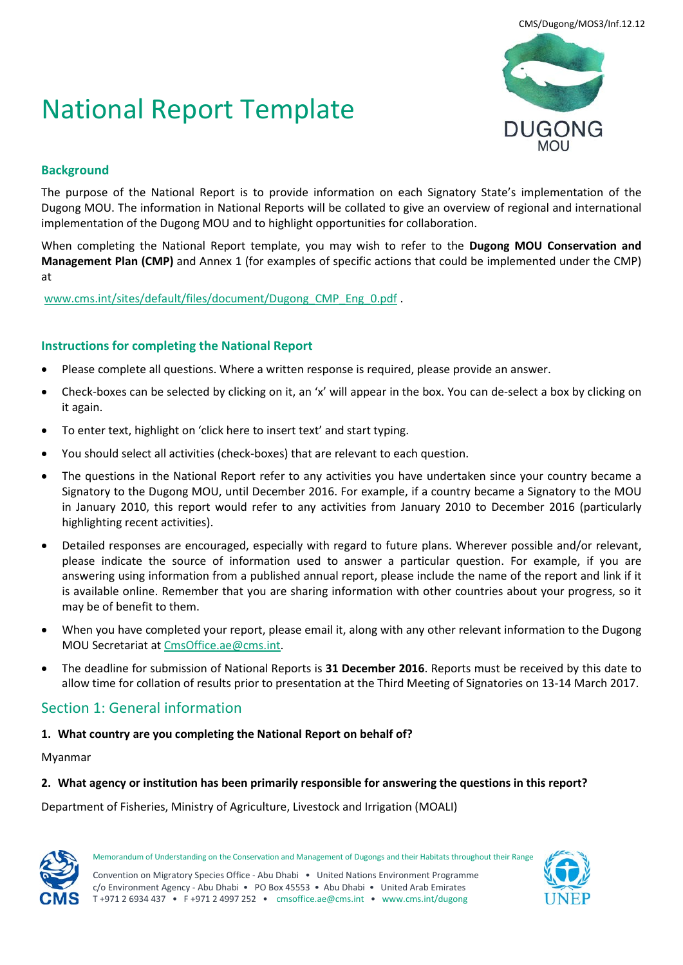# National Report Template



## **Background**

The purpose of the National Report is to provide information on each Signatory State's implementation of the Dugong MOU. The information in National Reports will be collated to give an overview of regional and international implementation of the Dugong MOU and to highlight opportunities for collaboration.

When completing the National Report template, you may wish to refer to the **Dugong MOU Conservation and Management Plan (CMP)** and Annex 1 (for examples of specific actions that could be implemented under the CMP) at

[www.cms.int/sites/default/files/document/Dugong\\_CMP\\_Eng\\_0.pdf](http://www.cms.int/sites/default/files/document/Dugong_CMP_Eng_0.pdf) .

## **Instructions for completing the National Report**

- Please complete all questions. Where a written response is required, please provide an answer.
- Check-boxes can be selected by clicking on it, an 'x' will appear in the box. You can de-select a box by clicking on it again.
- To enter text, highlight on 'click here to insert text' and start typing.
- You should select all activities (check-boxes) that are relevant to each question.
- The questions in the National Report refer to any activities you have undertaken since your country became a Signatory to the Dugong MOU, until December 2016. For example, if a country became a Signatory to the MOU in January 2010, this report would refer to any activities from January 2010 to December 2016 (particularly highlighting recent activities).
- Detailed responses are encouraged, especially with regard to future plans. Wherever possible and/or relevant, please indicate the source of information used to answer a particular question. For example, if you are answering using information from a published annual report, please include the name of the report and link if it is available online. Remember that you are sharing information with other countries about your progress, so it may be of benefit to them.
- When you have completed your report, please email it, along with any other relevant information to the Dugong MOU Secretariat at [CmsOffice.ae@cms.int.](mailto:CmsOffice.ae@cms.int)
- The deadline for submission of National Reports is **31 December 2016**. Reports must be received by this date to allow time for collation of results prior to presentation at the Third Meeting of Signatories on 13-14 March 2017.

# Section 1: General information

#### **1. What country are you completing the National Report on behalf of?**

#### Myanmar

#### **2. What agency or institution has been primarily responsible for answering the questions in this report?**

Department of Fisheries, Ministry of Agriculture, Livestock and Irrigation (MOALI)



Memorandum of Understanding on the Conservation and Management of Dugongs and their Habitats throughout their Range Convention on Migratory Species Office - Abu Dhabi • United Nations Environment Programme

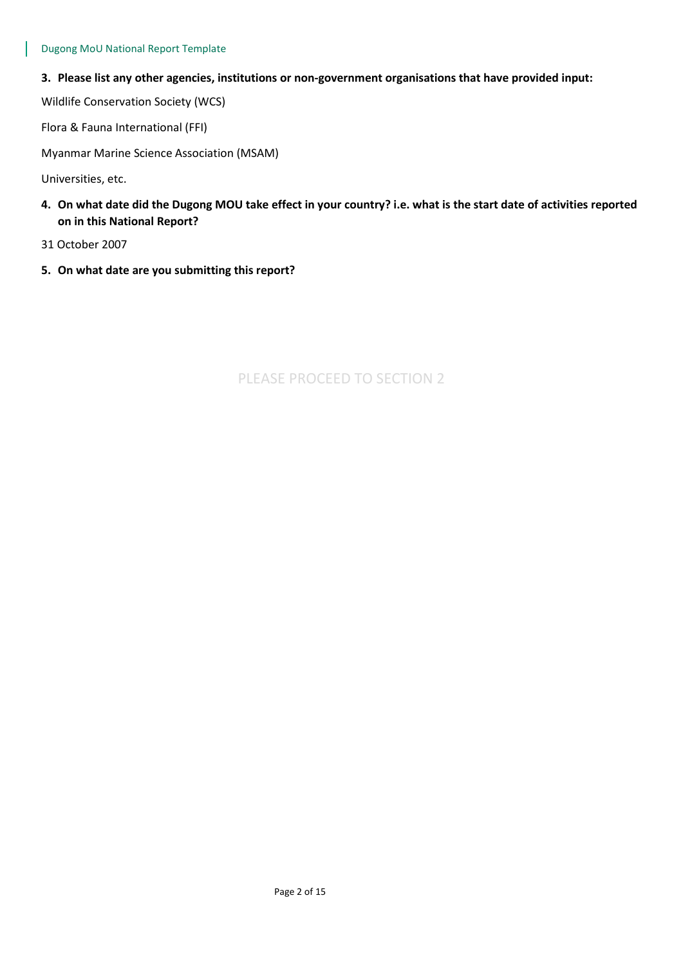**3. Please list any other agencies, institutions or non-government organisations that have provided input:**

Wildlife Conservation Society (WCS)

Flora & Fauna International (FFI)

Myanmar Marine Science Association (MSAM)

Universities, etc.

- **4. On what date did the Dugong MOU take effect in your country? i.e. what is the start date of activities reported on in this National Report?**
- 31 October 2007
- **5. On what date are you submitting this report?**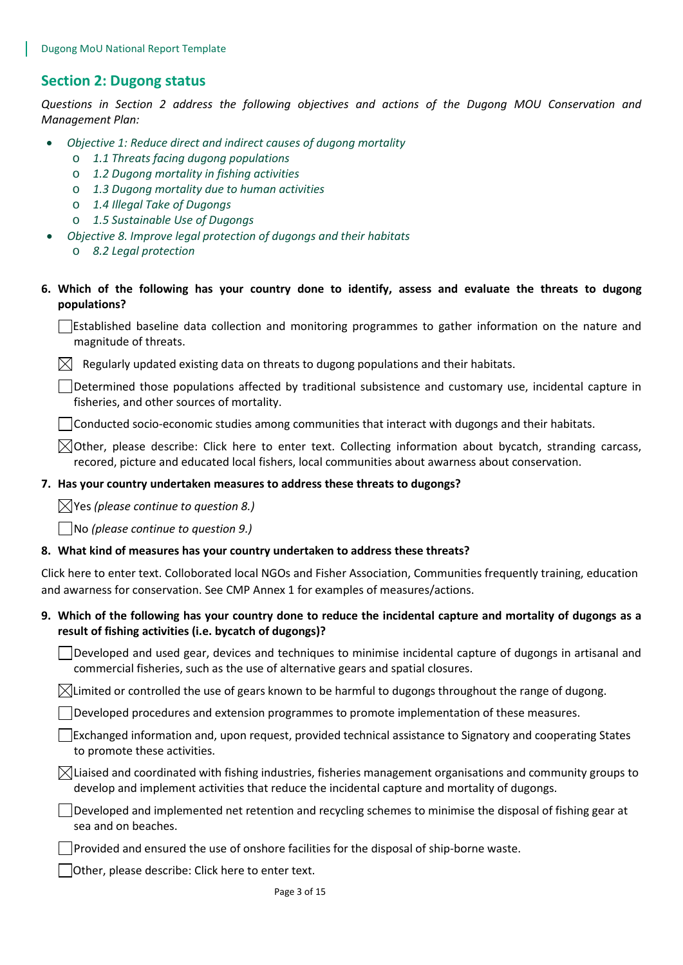# **Section 2: Dugong status**

*Questions in Section 2 address the following objectives and actions of the Dugong MOU Conservation and Management Plan:* 

- *Objective 1: Reduce direct and indirect causes of dugong mortality*
	- o *1.1 Threats facing dugong populations*
	- o *1.2 Dugong mortality in fishing activities*
	- o *1.3 Dugong mortality due to human activities*
	- o *1.4 Illegal Take of Dugongs*
	- o *1.5 Sustainable Use of Dugongs*
	- *Objective 8. Improve legal protection of dugongs and their habitats*
		- o *8.2 Legal protection*
- **6. Which of the following has your country done to identify, assess and evaluate the threats to dugong populations?**

Established baseline data collection and monitoring programmes to gather information on the nature and magnitude of threats.

 $\boxtimes$  Regularly updated existing data on threats to dugong populations and their habitats.

Determined those populations affected by traditional subsistence and customary use, incidental capture in fisheries, and other sources of mortality.

 $\Box$  Conducted socio-economic studies among communities that interact with dugongs and their habitats.

 $\boxtimes$ Other, please describe: Click here to enter text. Collecting information about bycatch, stranding carcass, recored, picture and educated local fishers, local communities about awarness about conservation.

#### **7. Has your country undertaken measures to address these threats to dugongs?**

Yes *(please continue to question 8.)*

No *(please continue to question 9.)*

#### **8. What kind of measures has your country undertaken to address these threats?**

Click here to enter text. Colloborated local NGOs and Fisher Association, Communities frequently training, education and awarness for conservation. See CMP Annex 1 for examples of measures/actions.

## **9. Which of the following has your country done to reduce the incidental capture and mortality of dugongs as a result of fishing activities (i.e. bycatch of dugongs)?**

Developed and used gear, devices and techniques to minimise incidental capture of dugongs in artisanal and commercial fisheries, such as the use of alternative gears and spatial closures.

 $\boxtimes$ Limited or controlled the use of gears known to be harmful to dugongs throughout the range of dugong.

Developed procedures and extension programmes to promote implementation of these measures.

Exchanged information and, upon request, provided technical assistance to Signatory and cooperating States to promote these activities.

 $\boxtimes$ Liaised and coordinated with fishing industries, fisheries management organisations and community groups to develop and implement activities that reduce the incidental capture and mortality of dugongs.

 $\Box$  Developed and implemented net retention and recycling schemes to minimise the disposal of fishing gear at sea and on beaches.

Provided and ensured the use of onshore facilities for the disposal of ship-borne waste.

Other, please describe: Click here to enter text.

Page 3 of 15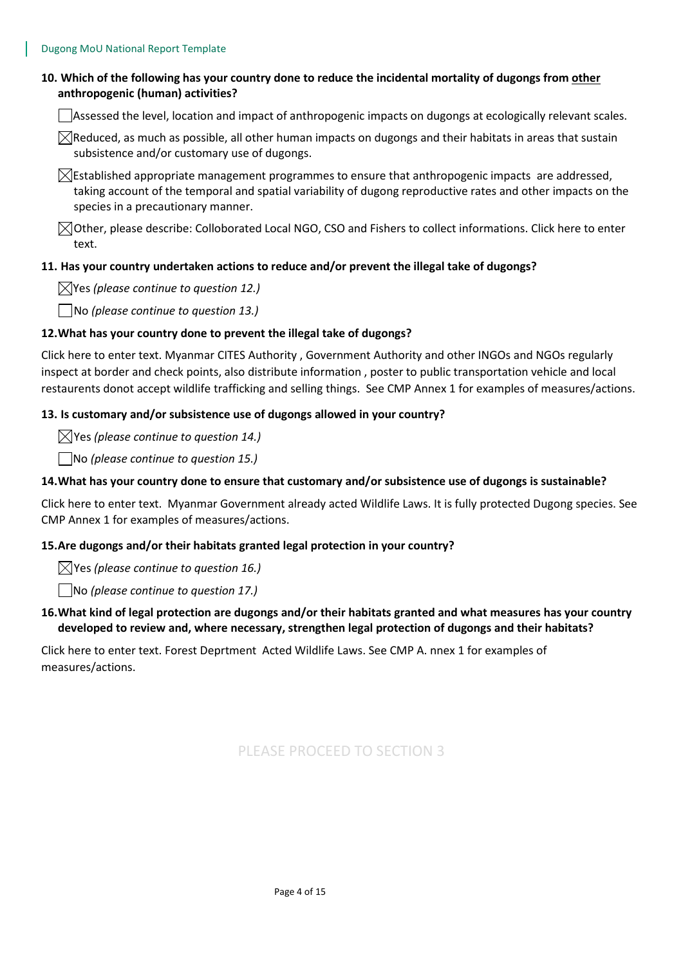## **10. Which of the following has your country done to reduce the incidental mortality of dugongs from other anthropogenic (human) activities?**

Assessed the level, location and impact of anthropogenic impacts on dugongs at ecologically relevant scales.

 $\boxtimes$ Reduced, as much as possible, all other human impacts on dugongs and their habitats in areas that sustain subsistence and/or customary use of dugongs.

 $\boxtimes$ Established appropriate management programmes to ensure that anthropogenic impacts are addressed, taking account of the temporal and spatial variability of dugong reproductive rates and other impacts on the species in a precautionary manner.

 $\bowtie$  Other, please describe: Colloborated Local NGO, CSO and Fishers to collect informations. Click here to enter text.

#### **11. Has your country undertaken actions to reduce and/or prevent the illegal take of dugongs?**

Yes *(please continue to question 12.)*

No *(please continue to question 13.)*

#### **12.What has your country done to prevent the illegal take of dugongs?**

Click here to enter text. Myanmar CITES Authority , Government Authority and other INGOs and NGOs regularly inspect at border and check points, also distribute information , poster to public transportation vehicle and local restaurents donot accept wildlife trafficking and selling things. See CMP Annex 1 for examples of measures/actions.

#### **13. Is customary and/or subsistence use of dugongs allowed in your country?**

Yes *(please continue to question 14.)*

No *(please continue to question 15.)*

#### **14.What has your country done to ensure that customary and/or subsistence use of dugongs is sustainable?**

Click here to enter text. Myanmar Government already acted Wildlife Laws. It is fully protected Dugong species. See CMP Annex 1 for examples of measures/actions.

#### **15.Are dugongs and/or their habitats granted legal protection in your country?**

Yes *(please continue to question 16.)*

No *(please continue to question 17.)*

## **16.What kind of legal protection are dugongs and/or their habitats granted and what measures has your country developed to review and, where necessary, strengthen legal protection of dugongs and their habitats?**

Click here to enter text. Forest Deprtment Acted Wildlife Laws. See CMP A. nnex 1 for examples of measures/actions.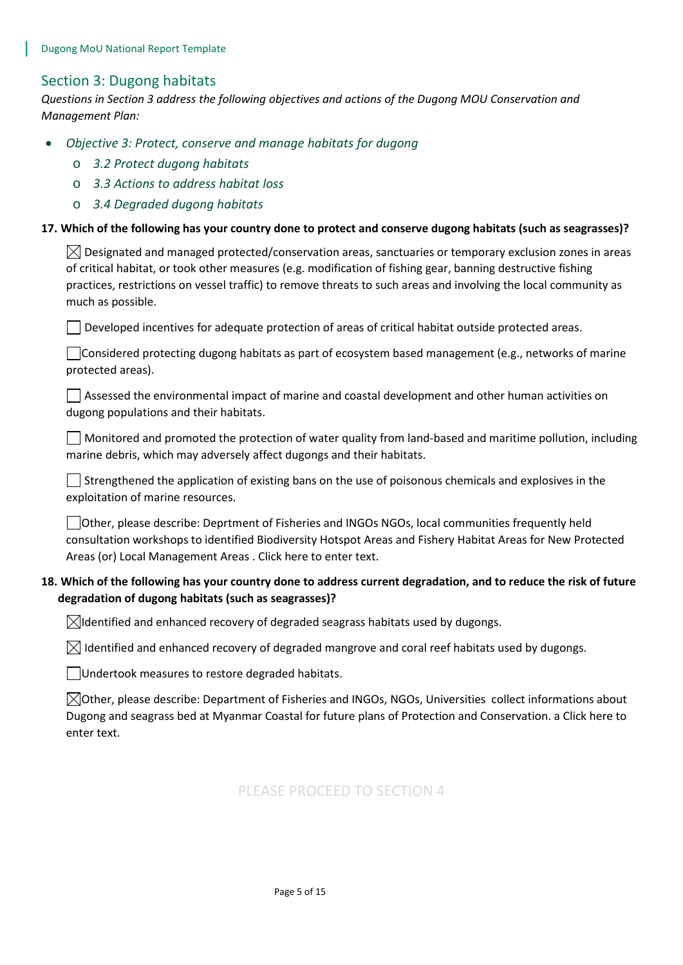## Section 3: Dugong habitats

*Questions in Section 3 address the following objectives and actions of the Dugong MOU Conservation and Management Plan:* 

- *Objective 3: Protect, conserve and manage habitats for dugong*
	- o *3.2 Protect dugong habitats*
	- o *3.3 Actions to address habitat loss*
	- o *3.4 Degraded dugong habitats*

#### **17. Which of the following has your country done to protect and conserve dugong habitats (such as seagrasses)?**

 $\boxtimes$  Designated and managed protected/conservation areas, sanctuaries or temporary exclusion zones in areas of critical habitat, or took other measures (e.g. modification of fishing gear, banning destructive fishing practices, restrictions on vessel traffic) to remove threats to such areas and involving the local community as much as possible.

 $\Box$  Developed incentives for adequate protection of areas of critical habitat outside protected areas.

Considered protecting dugong habitats as part of ecosystem based management (e.g., networks of marine protected areas).

 $\Box$  Assessed the environmental impact of marine and coastal development and other human activities on dugong populations and their habitats.

 $\Box$  Monitored and promoted the protection of water quality from land-based and maritime pollution, including marine debris, which may adversely affect dugongs and their habitats.

 $\vert \ \vert$  Strengthened the application of existing bans on the use of poisonous chemicals and explosives in the exploitation of marine resources.

Other, please describe: Deprtment of Fisheries and INGOs NGOs, local communities frequently held consultation workshops to identified Biodiversity Hotspot Areas and Fishery Habitat Areas for New Protected Areas (or) Local Management Areas . Click here to enter text.

## **18. Which of the following has your country done to address current degradation, and to reduce the risk of future degradation of dugong habitats (such as seagrasses)?**

 $\boxtimes$ Identified and enhanced recovery of degraded seagrass habitats used by dugongs.

 $\boxtimes$  Identified and enhanced recovery of degraded mangrove and coral reef habitats used by dugongs.

Undertook measures to restore degraded habitats.

 $\boxtimes$ Other, please describe: Department of Fisheries and INGOs, NGOs, Universities collect informations about Dugong and seagrass bed at Myanmar Coastal for future plans of Protection and Conservation. a Click here to enter text.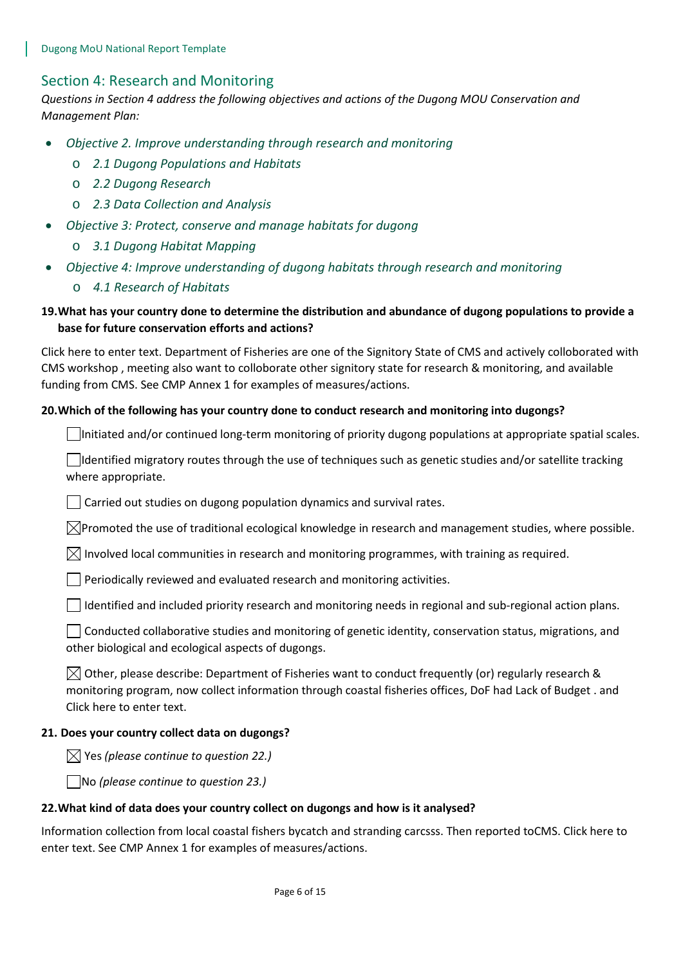## Section 4: Research and Monitoring

*Questions in Section 4 address the following objectives and actions of the Dugong MOU Conservation and Management Plan:* 

- *Objective 2. Improve understanding through research and monitoring* 
	- o *2.1 Dugong Populations and Habitats*
	- o *2.2 Dugong Research*
	- o *2.3 Data Collection and Analysis*
- *Objective 3: Protect, conserve and manage habitats for dugong*
	- o *3.1 Dugong Habitat Mapping*
- *Objective 4: Improve understanding of dugong habitats through research and monitoring*
	- o *4.1 Research of Habitats*

## **19.What has your country done to determine the distribution and abundance of dugong populations to provide a base for future conservation efforts and actions?**

Click here to enter text. Department of Fisheries are one of the Signitory State of CMS and actively colloborated with CMS workshop , meeting also want to colloborate other signitory state for research & monitoring, and available funding from CMS. See CMP Annex 1 for examples of measures/actions.

#### **20.Which of the following has your country done to conduct research and monitoring into dugongs?**

 $\Box$ Initiated and/or continued long-term monitoring of priority dugong populations at appropriate spatial scales.

 $\Box$ Identified migratory routes through the use of techniques such as genetic studies and/or satellite tracking where appropriate.

 $\Box$  Carried out studies on dugong population dynamics and survival rates.

 $\boxtimes$ Promoted the use of traditional ecological knowledge in research and management studies, where possible.

 $\boxtimes$  Involved local communities in research and monitoring programmes, with training as required.

 $\Box$  Periodically reviewed and evaluated research and monitoring activities.

 $\Box$  Identified and included priority research and monitoring needs in regional and sub-regional action plans.

 $\Box$  Conducted collaborative studies and monitoring of genetic identity, conservation status, migrations, and other biological and ecological aspects of dugongs.

 $\boxtimes$  Other, please describe: Department of Fisheries want to conduct frequently (or) regularly research & monitoring program, now collect information through coastal fisheries offices, DoF had Lack of Budget . and Click here to enter text.

#### **21. Does your country collect data on dugongs?**

 $\boxtimes$  Yes (please continue to question 22.)

No *(please continue to question 23.)*

#### **22.What kind of data does your country collect on dugongs and how is it analysed?**

Information collection from local coastal fishers bycatch and stranding carcsss. Then reported toCMS. Click here to enter text. See CMP Annex 1 for examples of measures/actions.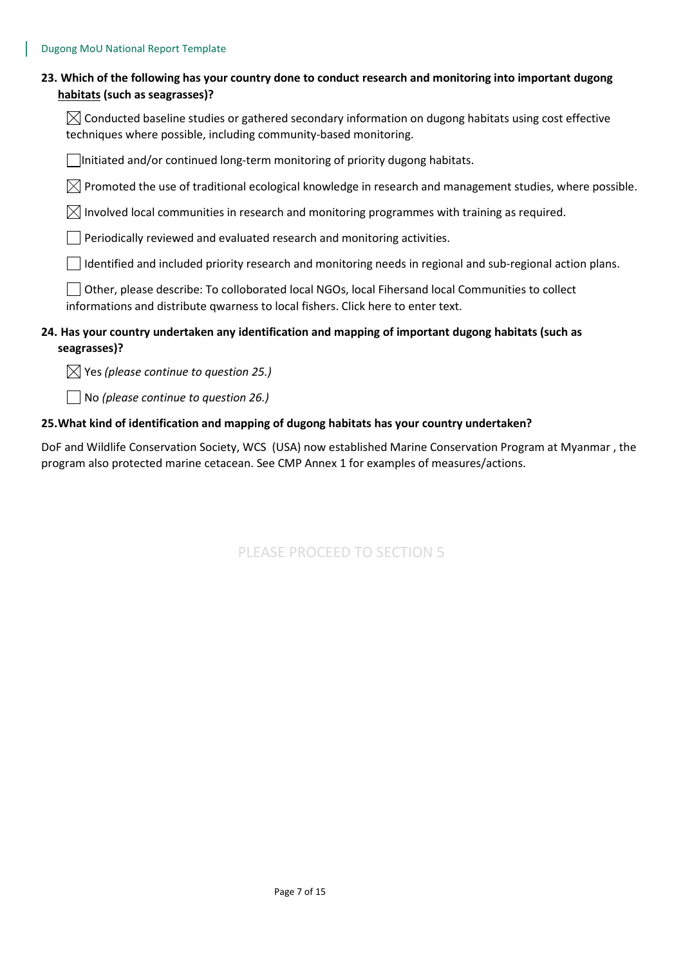| 23. Which of the following has your country done to conduct research and monitoring into important dugong |
|-----------------------------------------------------------------------------------------------------------|
| habitats (such as seagrasses)?                                                                            |

 $\boxtimes$  Conducted baseline studies or gathered secondary information on dugong habitats using cost effective techniques where possible, including community-based monitoring.

Initiated and/or continued long-term monitoring of priority dugong habitats.

 $\boxtimes$  Promoted the use of traditional ecological knowledge in research and management studies, where possible.

 $\boxtimes$  Involved local communities in research and monitoring programmes with training as required.

Periodically reviewed and evaluated research and monitoring activities.

Identified and included priority research and monitoring needs in regional and sub-regional action plans.

Other, please describe: To colloborated local NGOs, local Fihersand local Communities to collect informations and distribute qwarness to local fishers. Click here to enter text.

## **24. Has your country undertaken any identification and mapping of important dugong habitats (such as seagrasses)?**

Yes *(please continue to question 25.)*

No *(please continue to question 26.)*

#### **25.What kind of identification and mapping of dugong habitats has your country undertaken?**

DoF and Wildlife Conservation Society, WCS (USA) now established Marine Conservation Program at Myanmar , the program also protected marine cetacean. See CMP Annex 1 for examples of measures/actions.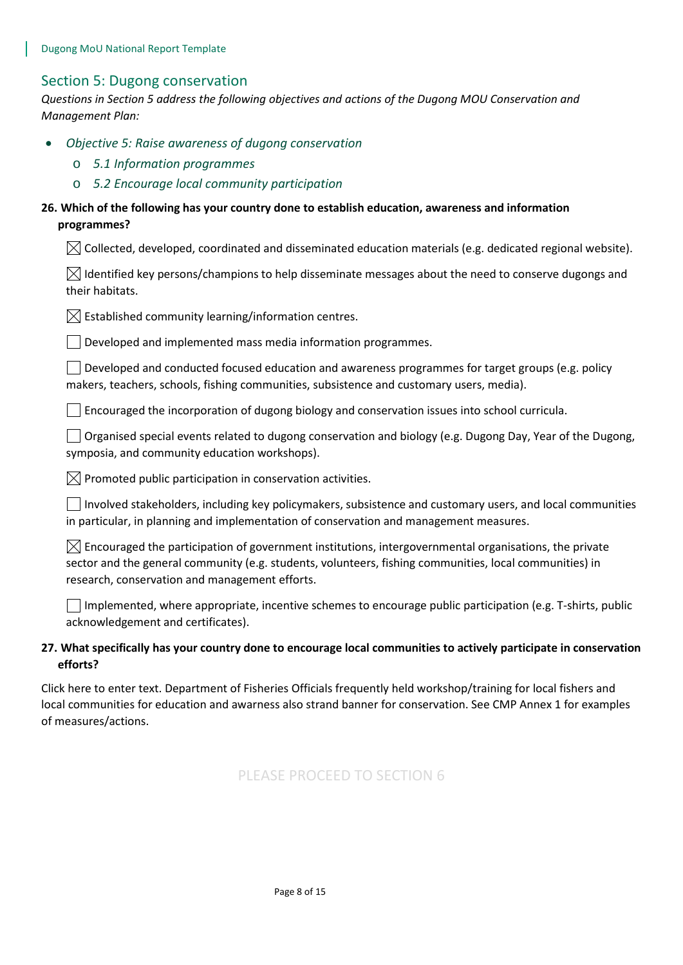## Section 5: Dugong conservation

*Questions in Section 5 address the following objectives and actions of the Dugong MOU Conservation and Management Plan:* 

- *Objective 5: Raise awareness of dugong conservation*
	- o *5.1 Information programmes*
	- o *5.2 Encourage local community participation*

## **26. Which of the following has your country done to establish education, awareness and information programmes?**

 $\boxtimes$  Collected, developed, coordinated and disseminated education materials (e.g. dedicated regional website).

| $\boxtimes$ Identified key persons/champions to help disseminate messages about the need to conserve dugongs and |  |
|------------------------------------------------------------------------------------------------------------------|--|
| their habitats.                                                                                                  |  |

 $\boxtimes$  Established community learning/information centres.

 $\Box$  Developed and implemented mass media information programmes.

 $\Box$  Developed and conducted focused education and awareness programmes for target groups (e.g. policy makers, teachers, schools, fishing communities, subsistence and customary users, media).

 $\Box$  Encouraged the incorporation of dugong biology and conservation issues into school curricula.

 $\Box$  Organised special events related to dugong conservation and biology (e.g. Dugong Day, Year of the Dugong, symposia, and community education workshops).

 $\boxtimes$  Promoted public participation in conservation activities.

Involved stakeholders, including key policymakers, subsistence and customary users, and local communities in particular, in planning and implementation of conservation and management measures.

 $\boxtimes$  Encouraged the participation of government institutions, intergovernmental organisations, the private sector and the general community (e.g. students, volunteers, fishing communities, local communities) in research, conservation and management efforts.

 $\Box$  Implemented, where appropriate, incentive schemes to encourage public participation (e.g. T-shirts, public acknowledgement and certificates).

## **27. What specifically has your country done to encourage local communities to actively participate in conservation efforts?**

Click here to enter text. Department of Fisheries Officials frequently held workshop/training for local fishers and local communities for education and awarness also strand banner for conservation. See CMP Annex 1 for examples of measures/actions.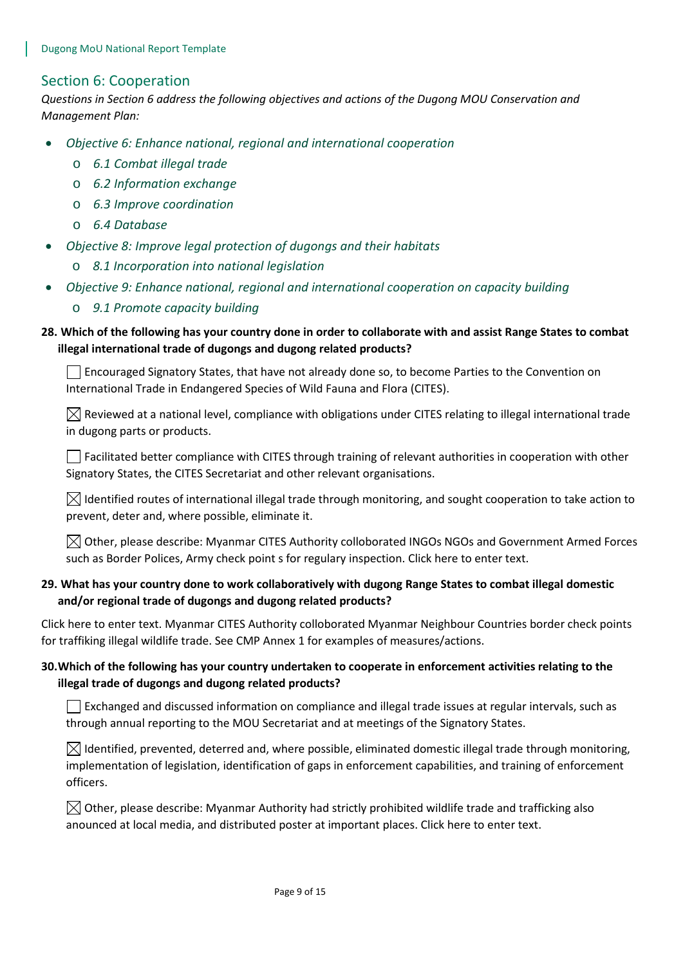## Section 6: Cooperation

*Questions in Section 6 address the following objectives and actions of the Dugong MOU Conservation and Management Plan:* 

- *Objective 6: Enhance national, regional and international cooperation*
	- o *6.1 Combat illegal trade*
	- o *6.2 Information exchange*
	- o *6.3 Improve coordination*
	- o *6.4 Database*
- *Objective 8: Improve legal protection of dugongs and their habitats*
	- o *8.1 Incorporation into national legislation*
- *Objective 9: Enhance national, regional and international cooperation on capacity building*
	- o *9.1 Promote capacity building*

## **28. Which of the following has your country done in order to collaborate with and assist Range States to combat illegal international trade of dugongs and dugong related products?**

Encouraged Signatory States, that have not already done so, to become Parties to the Convention on International Trade in Endangered Species of Wild Fauna and Flora (CITES).

 $\boxtimes$  Reviewed at a national level, compliance with obligations under CITES relating to illegal international trade in dugong parts or products.

 $\Box$  Facilitated better compliance with CITES through training of relevant authorities in cooperation with other Signatory States, the CITES Secretariat and other relevant organisations.

 $\boxtimes$  Identified routes of international illegal trade through monitoring, and sought cooperation to take action to prevent, deter and, where possible, eliminate it.

 $\boxtimes$  Other, please describe: Myanmar CITES Authority colloborated INGOs NGOs and Government Armed Forces such as Border Polices, Army check point s for regulary inspection. Click here to enter text.

## **29. What has your country done to work collaboratively with dugong Range States to combat illegal domestic and/or regional trade of dugongs and dugong related products?**

Click here to enter text. Myanmar CITES Authority colloborated Myanmar Neighbour Countries border check points for traffiking illegal wildlife trade. See CMP Annex 1 for examples of measures/actions.

## **30.Which of the following has your country undertaken to cooperate in enforcement activities relating to the illegal trade of dugongs and dugong related products?**

 $\Box$  Exchanged and discussed information on compliance and illegal trade issues at regular intervals, such as through annual reporting to the MOU Secretariat and at meetings of the Signatory States.

 $\boxtimes$  Identified, prevented, deterred and, where possible, eliminated domestic illegal trade through monitoring, implementation of legislation, identification of gaps in enforcement capabilities, and training of enforcement officers.

 $\boxtimes$  Other, please describe: Myanmar Authority had strictly prohibited wildlife trade and trafficking also anounced at local media, and distributed poster at important places. Click here to enter text.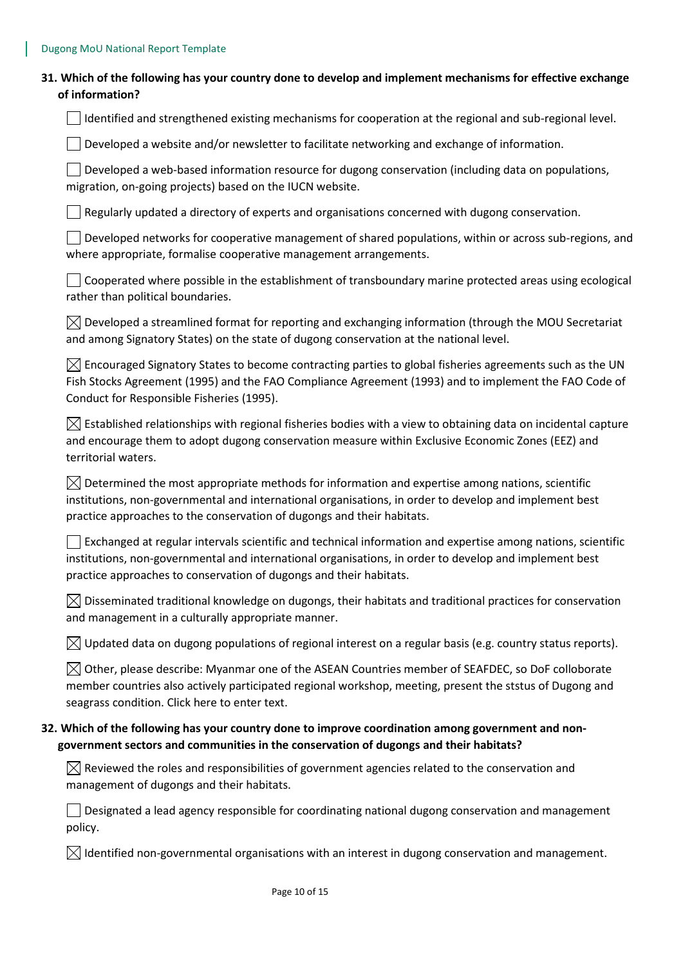| 31. Which of the following has your country done to develop and implement mechanisms for effective exchange |
|-------------------------------------------------------------------------------------------------------------|
| of information?                                                                                             |

I Identified and strengthened existing mechanisms for cooperation at the regional and sub-regional level.

 $\Box$  Developed a website and/or newsletter to facilitate networking and exchange of information.

 $\Box$  Developed a web-based information resource for dugong conservation (including data on populations, migration, on-going projects) based on the IUCN website.

 $\Box$  Regularly updated a directory of experts and organisations concerned with dugong conservation.

Developed networks for cooperative management of shared populations, within or across sub-regions, and where appropriate, formalise cooperative management arrangements.

 $\Box$  Cooperated where possible in the establishment of transboundary marine protected areas using ecological rather than political boundaries.

 $\boxtimes$  Developed a streamlined format for reporting and exchanging information (through the MOU Secretariat and among Signatory States) on the state of dugong conservation at the national level.

 $\boxtimes$  Encouraged Signatory States to become contracting parties to global fisheries agreements such as the UN Fish Stocks Agreement (1995) and the FAO Compliance Agreement (1993) and to implement the FAO Code of Conduct for Responsible Fisheries (1995).

 $\boxtimes$  Established relationships with regional fisheries bodies with a view to obtaining data on incidental capture and encourage them to adopt dugong conservation measure within Exclusive Economic Zones (EEZ) and territorial waters.

 $\boxtimes$  Determined the most appropriate methods for information and expertise among nations, scientific institutions, non-governmental and international organisations, in order to develop and implement best practice approaches to the conservation of dugongs and their habitats.

Exchanged at regular intervals scientific and technical information and expertise among nations, scientific institutions, non-governmental and international organisations, in order to develop and implement best practice approaches to conservation of dugongs and their habitats.

 $\boxtimes$  Disseminated traditional knowledge on dugongs, their habitats and traditional practices for conservation and management in a culturally appropriate manner.

 $\bowtie$  Updated data on dugong populations of regional interest on a regular basis (e.g. country status reports).

 $\boxtimes$  Other, please describe: Myanmar one of the ASEAN Countries member of SEAFDEC, so DoF colloborate member countries also actively participated regional workshop, meeting, present the ststus of Dugong and seagrass condition. Click here to enter text.

## **32. Which of the following has your country done to improve coordination among government and nongovernment sectors and communities in the conservation of dugongs and their habitats?**

 $\boxtimes$  Reviewed the roles and responsibilities of government agencies related to the conservation and management of dugongs and their habitats.

 $\Box$  Designated a lead agency responsible for coordinating national dugong conservation and management policy.

 $\boxtimes$  Identified non-governmental organisations with an interest in dugong conservation and management.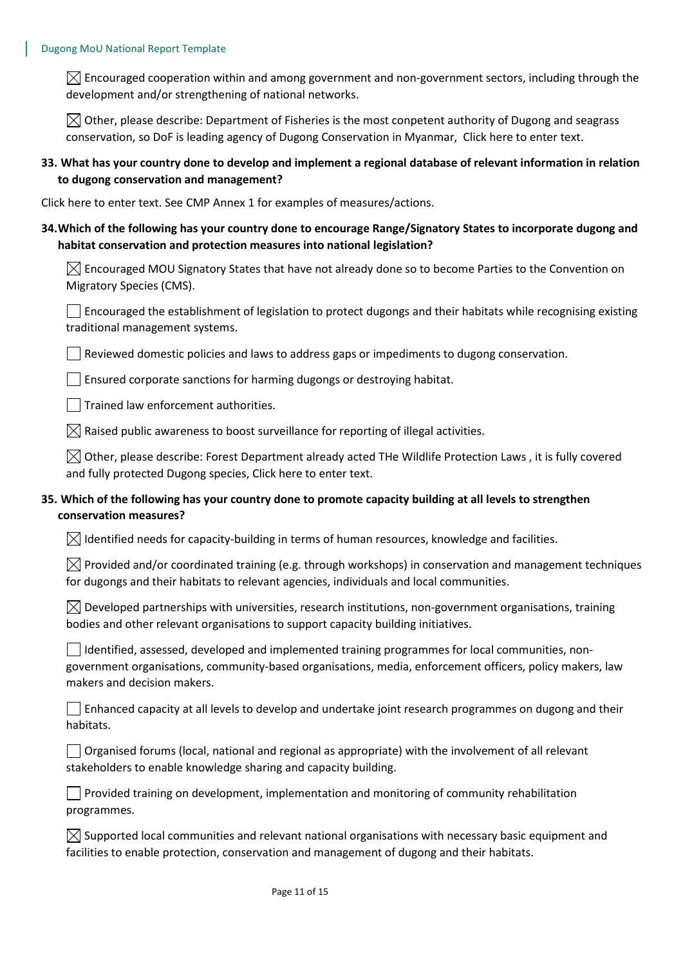$\boxtimes$  Encouraged cooperation within and among government and non-government sectors, including through the development and/or strengthening of national networks.

 $\bowtie$  Other, please describe: Department of Fisheries is the most conpetent authority of Dugong and seagrass conservation, so DoF is leading agency of Dugong Conservation in Myanmar, Click here to enter text.

#### **33. What has your country done to develop and implement a regional database of relevant information in relation to dugong conservation and management?**

Click here to enter text. See CMP Annex 1 for examples of measures/actions.

#### **34.Which of the following has your country done to encourage Range/Signatory States to incorporate dugong and habitat conservation and protection measures into national legislation?**

 $\boxtimes$  Encouraged MOU Signatory States that have not already done so to become Parties to the Convention on Migratory Species (CMS).

Encouraged the establishment of legislation to protect dugongs and their habitats while recognising existing traditional management systems.

 $\Box$  Reviewed domestic policies and laws to address gaps or impediments to dugong conservation.

 $\Box$  Ensured corporate sanctions for harming dugongs or destroying habitat.

 $\Box$  Trained law enforcement authorities.

 $\boxtimes$  Raised public awareness to boost surveillance for reporting of illegal activities.

 $\boxtimes$  Other, please describe: Forest Department already acted THe Wildlife Protection Laws, it is fully covered and fully protected Dugong species, Click here to enter text.

## **35. Which of the following has your country done to promote capacity building at all levels to strengthen conservation measures?**

 $\boxtimes$  Identified needs for capacity-building in terms of human resources, knowledge and facilities.

 $\boxtimes$  Provided and/or coordinated training (e.g. through workshops) in conservation and management techniques for dugongs and their habitats to relevant agencies, individuals and local communities.

 $\boxtimes$  Developed partnerships with universities, research institutions, non-government organisations, training bodies and other relevant organisations to support capacity building initiatives.

Identified, assessed, developed and implemented training programmes for local communities, nongovernment organisations, community-based organisations, media, enforcement officers, policy makers, law makers and decision makers.

Enhanced capacity at all levels to develop and undertake joint research programmes on dugong and their habitats.

 $\Box$  Organised forums (local, national and regional as appropriate) with the involvement of all relevant stakeholders to enable knowledge sharing and capacity building.

 $\vert \ \vert$  Provided training on development, implementation and monitoring of community rehabilitation programmes.

 $\boxtimes$  Supported local communities and relevant national organisations with necessary basic equipment and facilities to enable protection, conservation and management of dugong and their habitats.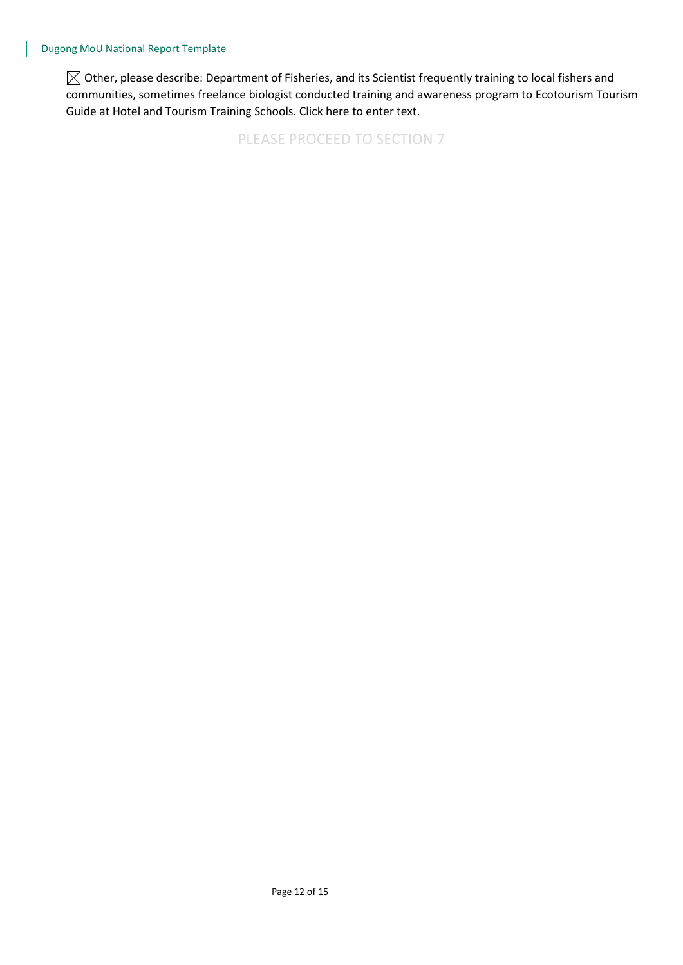$\boxtimes$  Other, please describe: Department of Fisheries, and its Scientist frequently training to local fishers and communities, sometimes freelance biologist conducted training and awareness program to Ecotourism Tourism Guide at Hotel and Tourism Training Schools. Click here to enter text.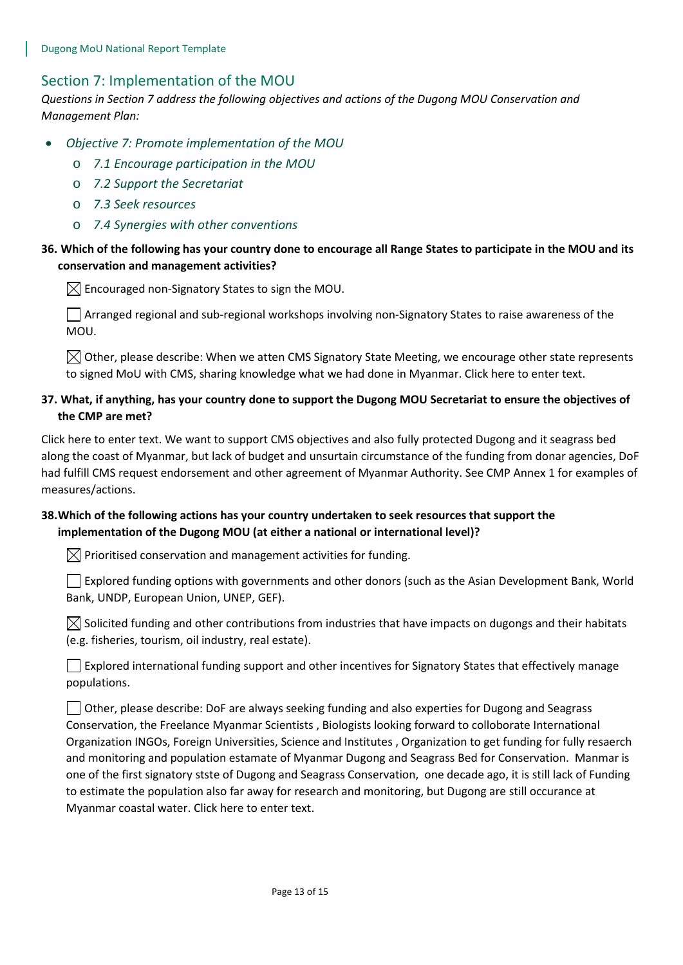## Section 7: Implementation of the MOU

*Questions in Section 7 address the following objectives and actions of the Dugong MOU Conservation and Management Plan:* 

- *Objective 7: Promote implementation of the MOU*
	- o *7.1 Encourage participation in the MOU*
	- o *7.2 Support the Secretariat*
	- o *7.3 Seek resources*
	- o *7.4 Synergies with other conventions*

#### **36. Which of the following has your country done to encourage all Range States to participate in the MOU and its conservation and management activities?**

 $\boxtimes$  Encouraged non-Signatory States to sign the MOU.

 $\Box$  Arranged regional and sub-regional workshops involving non-Signatory States to raise awareness of the MOU.

 $\boxtimes$  Other, please describe: When we atten CMS Signatory State Meeting, we encourage other state represents to signed MoU with CMS, sharing knowledge what we had done in Myanmar. Click here to enter text.

## **37. What, if anything, has your country done to support the Dugong MOU Secretariat to ensure the objectives of the CMP are met?**

Click here to enter text. We want to support CMS objectives and also fully protected Dugong and it seagrass bed along the coast of Myanmar, but lack of budget and unsurtain circumstance of the funding from donar agencies, DoF had fulfill CMS request endorsement and other agreement of Myanmar Authority. See CMP Annex 1 for examples of measures/actions.

## **38.Which of the following actions has your country undertaken to seek resources that support the implementation of the Dugong MOU (at either a national or international level)?**

 $\boxtimes$  Prioritised conservation and management activities for funding.

 $\Box$  Explored funding options with governments and other donors (such as the Asian Development Bank, World Bank, UNDP, European Union, UNEP, GEF).

 $\boxtimes$  Solicited funding and other contributions from industries that have impacts on dugongs and their habitats (e.g. fisheries, tourism, oil industry, real estate).

 $\Box$  Explored international funding support and other incentives for Signatory States that effectively manage populations.

Other, please describe: DoF are always seeking funding and also experties for Dugong and Seagrass Conservation, the Freelance Myanmar Scientists , Biologists looking forward to colloborate International Organization INGOs, Foreign Universities, Science and Institutes , Organization to get funding for fully resaerch and monitoring and population estamate of Myanmar Dugong and Seagrass Bed for Conservation. Manmar is one of the first signatory stste of Dugong and Seagrass Conservation, one decade ago, it is still lack of Funding to estimate the population also far away for research and monitoring, but Dugong are still occurance at Myanmar coastal water. Click here to enter text.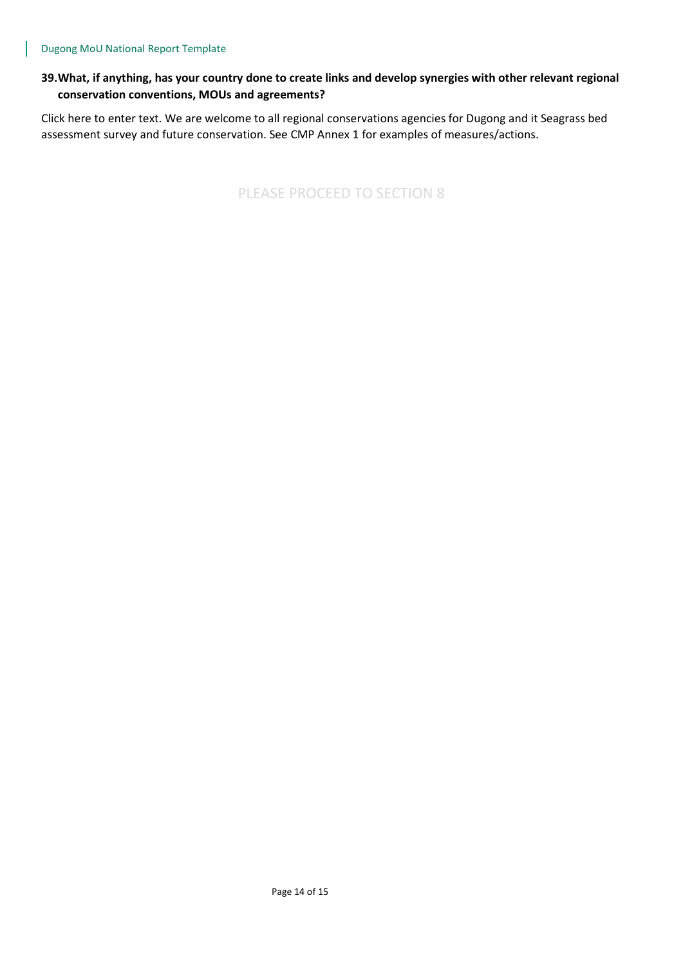## **39.What, if anything, has your country done to create links and develop synergies with other relevant regional conservation conventions, MOUs and agreements?**

Click here to enter text. We are welcome to all regional conservations agencies for Dugong and it Seagrass bed assessment survey and future conservation. See CMP Annex 1 for examples of measures/actions.